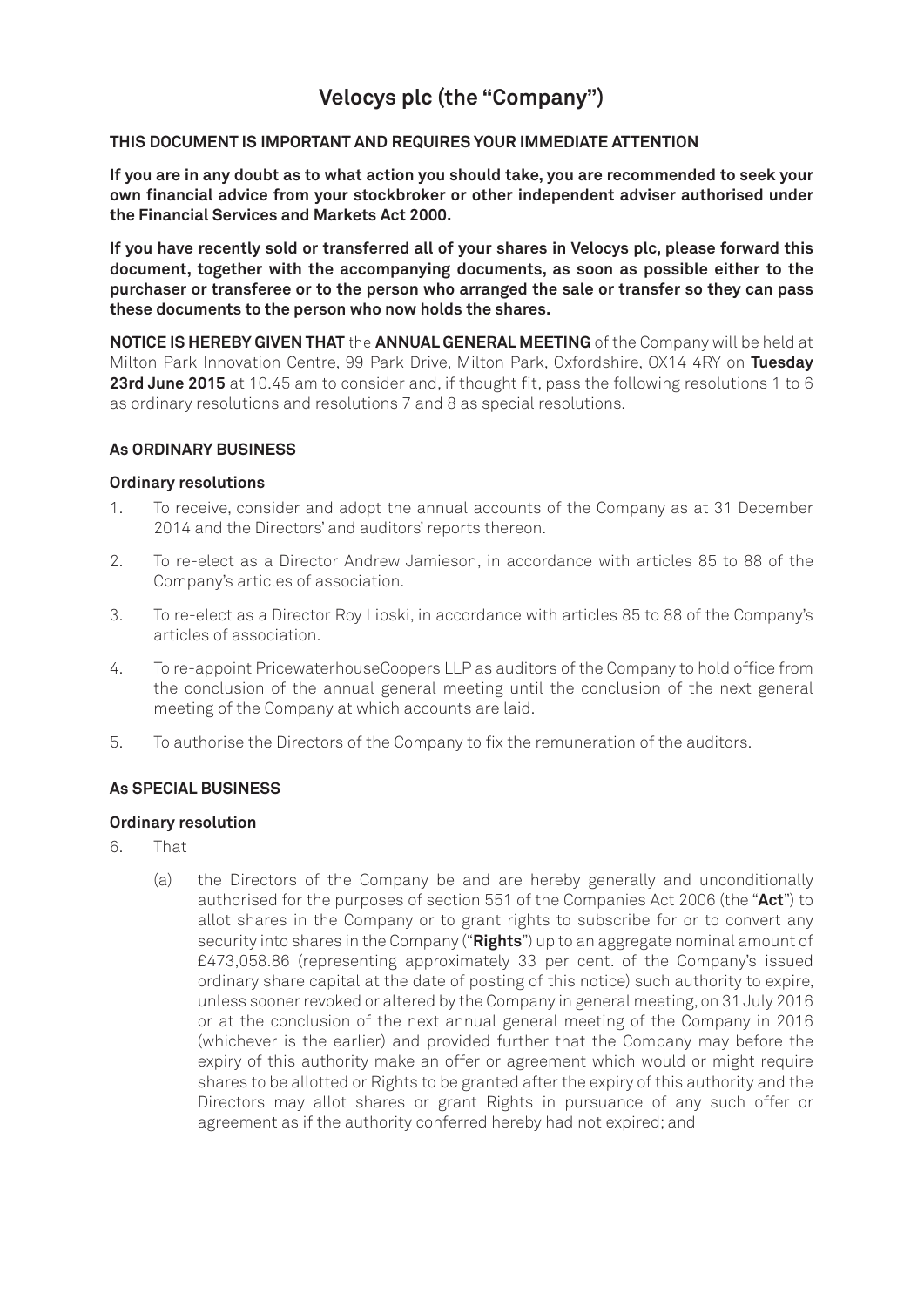# **Velocys plc (the "Company")**

## **THIS DOCUMENT IS IMPORTANT AND REQUIRES YOUR IMMEDIATE ATTENTION**

**If you are in any doubt as to what action you should take, you are recommended to seek your own financial advice from your stockbroker or other independent adviser authorised under the Financial Services and Markets Act 2000.**

**If you have recently sold or transferred all of your shares in Velocys plc, please forward this document, together with the accompanying documents, as soon as possible either to the purchaser or transferee or to the person who arranged the sale or transfer so they can pass these documents to the person who now holds the shares.**

**NOTICE IS HEREBY GIVEN THAT** the **ANNUAL GENERAL MEETING** of the Company will be held at Milton Park Innovation Centre, 99 Park Drive, Milton Park, Oxfordshire, OX14 4RY on **Tuesday** 23rd June 2015 at 10.45 am to consider and, if thought fit, pass the following resolutions 1 to 6 as ordinary resolutions and resolutions 7 and 8 as special resolutions.

### **As ORDINARY BUSINESS**

### **Ordinary resolutions**

- 1. To receive, consider and adopt the annual accounts of the Company as at 31 December 2014 and the Directors' and auditors' reports thereon.
- 2. To re-elect as a Director Andrew Jamieson, in accordance with articles 85 to 88 of the Company's articles of association.
- 3. To re-elect as a Director Roy Lipski, in accordance with articles 85 to 88 of the Company's articles of association.
- 4. To re-appoint PricewaterhouseCoopers LLP as auditors of the Company to hold office from the conclusion of the annual general meeting until the conclusion of the next general meeting of the Company at which accounts are laid.
- 5. To authorise the Directors of the Company to fix the remuneration of the auditors.

## **As SPECIAL BUSINESS**

### **Ordinary resolution**

- 6. That
	- (a) the Directors of the Company be and are hereby generally and unconditionally authorised for the purposes of section 551 of the Companies Act 2006 (the "**Act**") to allot shares in the Company or to grant rights to subscribe for or to convert any security into shares in the Company ("**Rights**") up to an aggregate nominal amount of £473,058.86 (representing approximately 33 per cent. of the Company's issued ordinary share capital at the date of posting of this notice) such authority to expire, unless sooner revoked or altered by the Company in general meeting, on 31 July 2016 or at the conclusion of the next annual general meeting of the Company in 2016 (whichever is the earlier) and provided further that the Company may before the expiry of this authority make an offer or agreement which would or might require shares to be allotted or Rights to be granted after the expiry of this authority and the Directors may allot shares or grant Rights in pursuance of any such offer or agreement as if the authority conferred hereby had not expired; and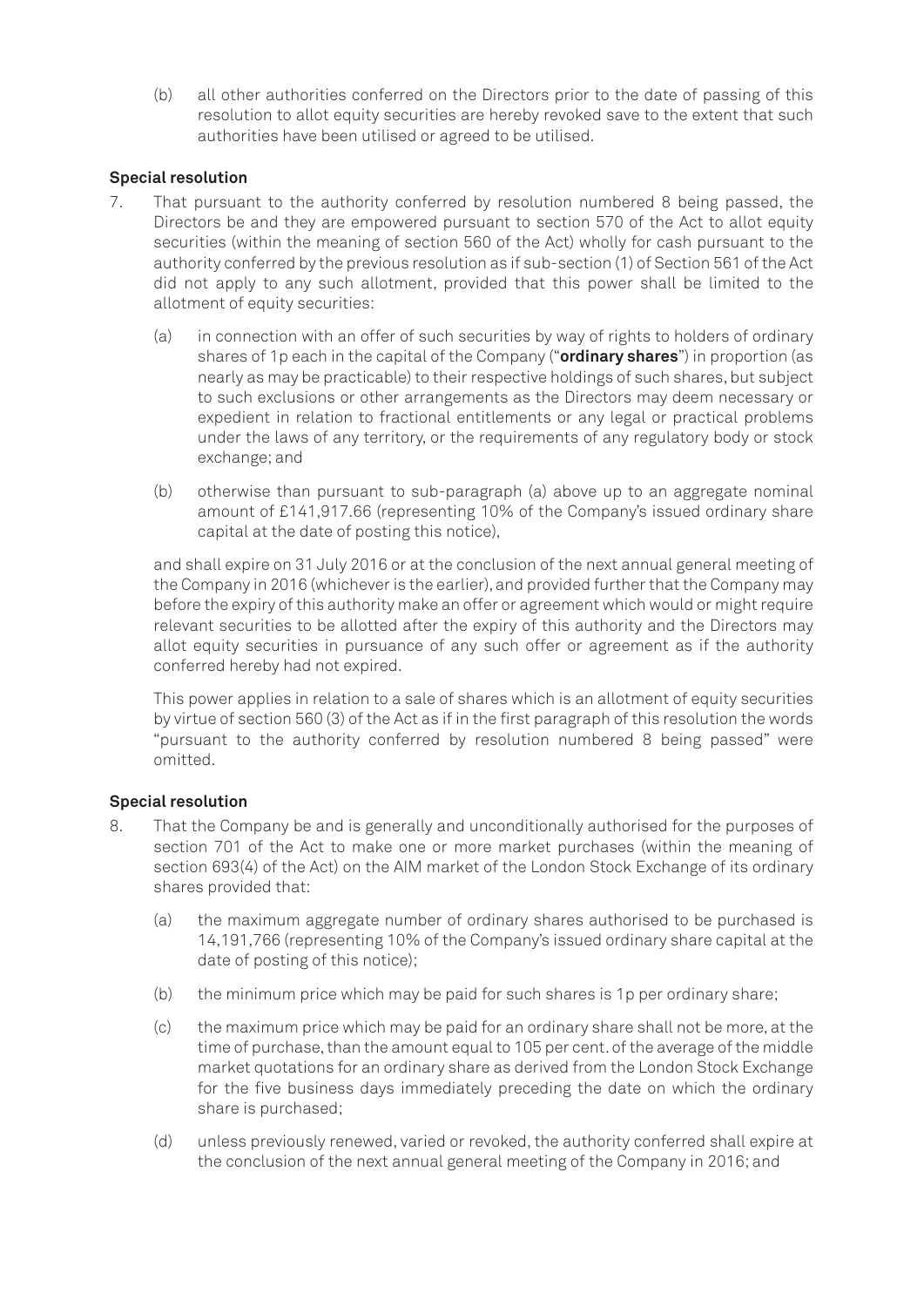(b) all other authorities conferred on the Directors prior to the date of passing of this resolution to allot equity securities are hereby revoked save to the extent that such authorities have been utilised or agreed to be utilised.

## **Special resolution**

- 7. That pursuant to the authority conferred by resolution numbered 8 being passed, the Directors be and they are empowered pursuant to section 570 of the Act to allot equity securities (within the meaning of section 560 of the Act) wholly for cash pursuant to the authority conferred by the previous resolution as if sub-section (1) of Section 561 of the Act did not apply to any such allotment, provided that this power shall be limited to the allotment of equity securities:
	- (a) in connection with an offer of such securities by way of rights to holders of ordinary shares of 1p each in the capital of the Company ("**ordinary shares**") in proportion (as nearly as may be practicable) to their respective holdings of such shares, but subject to such exclusions or other arrangements as the Directors may deem necessary or expedient in relation to fractional entitlements or any legal or practical problems under the laws of any territory, or the requirements of any regulatory body or stock exchange; and
	- (b) otherwise than pursuant to sub-paragraph (a) above up to an aggregate nominal amount of £141,917.66 (representing 10% of the Company's issued ordinary share capital at the date of posting this notice),

and shall expire on 31 July 2016 or at the conclusion of the next annual general meeting of the Company in 2016 (whichever is the earlier), and provided further that the Company may before the expiry of this authority make an offer or agreement which would or might require relevant securities to be allotted after the expiry of this authority and the Directors may allot equity securities in pursuance of any such offer or agreement as if the authority conferred hereby had not expired.

This power applies in relation to a sale of shares which is an allotment of equity securities by virtue of section 560 (3) of the Act as if in the first paragraph of this resolution the words "pursuant to the authority conferred by resolution numbered 8 being passed" were omitted.

## **Special resolution**

- 8. That the Company be and is generally and unconditionally authorised for the purposes of section 701 of the Act to make one or more market purchases (within the meaning of section 693(4) of the Act) on the AIM market of the London Stock Exchange of its ordinary shares provided that:
	- (a) the maximum aggregate number of ordinary shares authorised to be purchased is 14,191,766 (representing 10% of the Company's issued ordinary share capital at the date of posting of this notice);
	- (b) the minimum price which may be paid for such shares is 1p per ordinary share;
	- (c) the maximum price which may be paid for an ordinary share shall not be more, at the time of purchase, than the amount equal to 105 per cent. of the average of the middle market quotations for an ordinary share as derived from the London Stock Exchange for the five business days immediately preceding the date on which the ordinary share is purchased;
	- (d) unless previously renewed, varied or revoked, the authority conferred shall expire at the conclusion of the next annual general meeting of the Company in 2016; and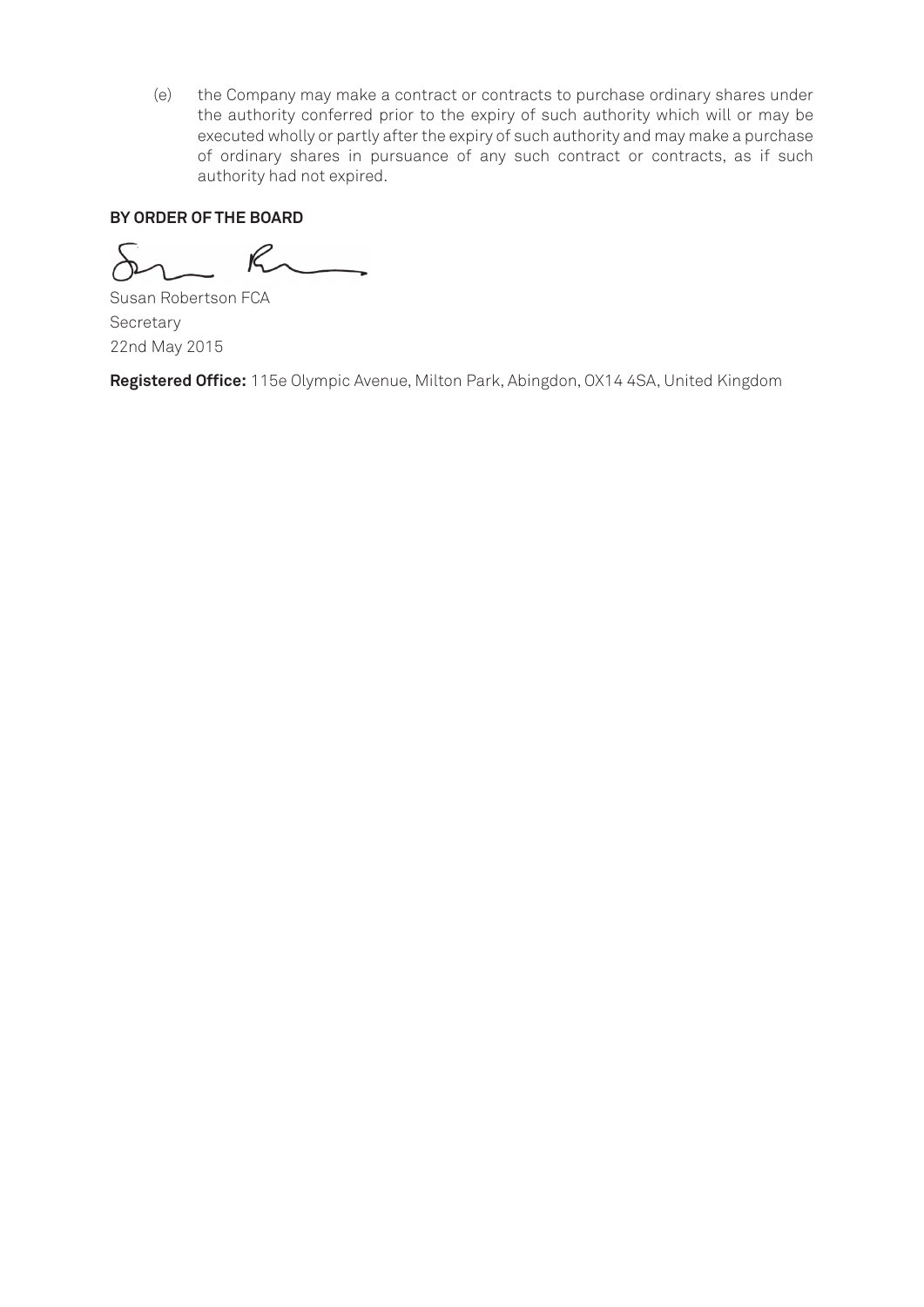(e) the Company may make a contract or contracts to purchase ordinary shares under the authority conferred prior to the expiry of such authority which will or may be executed wholly or partly after the expiry of such authority and may make a purchase of ordinary shares in pursuance of any such contract or contracts, as if such authority had not expired.

## **BY ORDER OF THE BOARD**

 $\overline{\phantom{0}}$  $R$ 

Susan Robertson FCA **Secretary** 22nd May 2015

**Registered Office:** 115e Olympic Avenue, Milton Park, Abingdon, OX14 4SA, United Kingdom